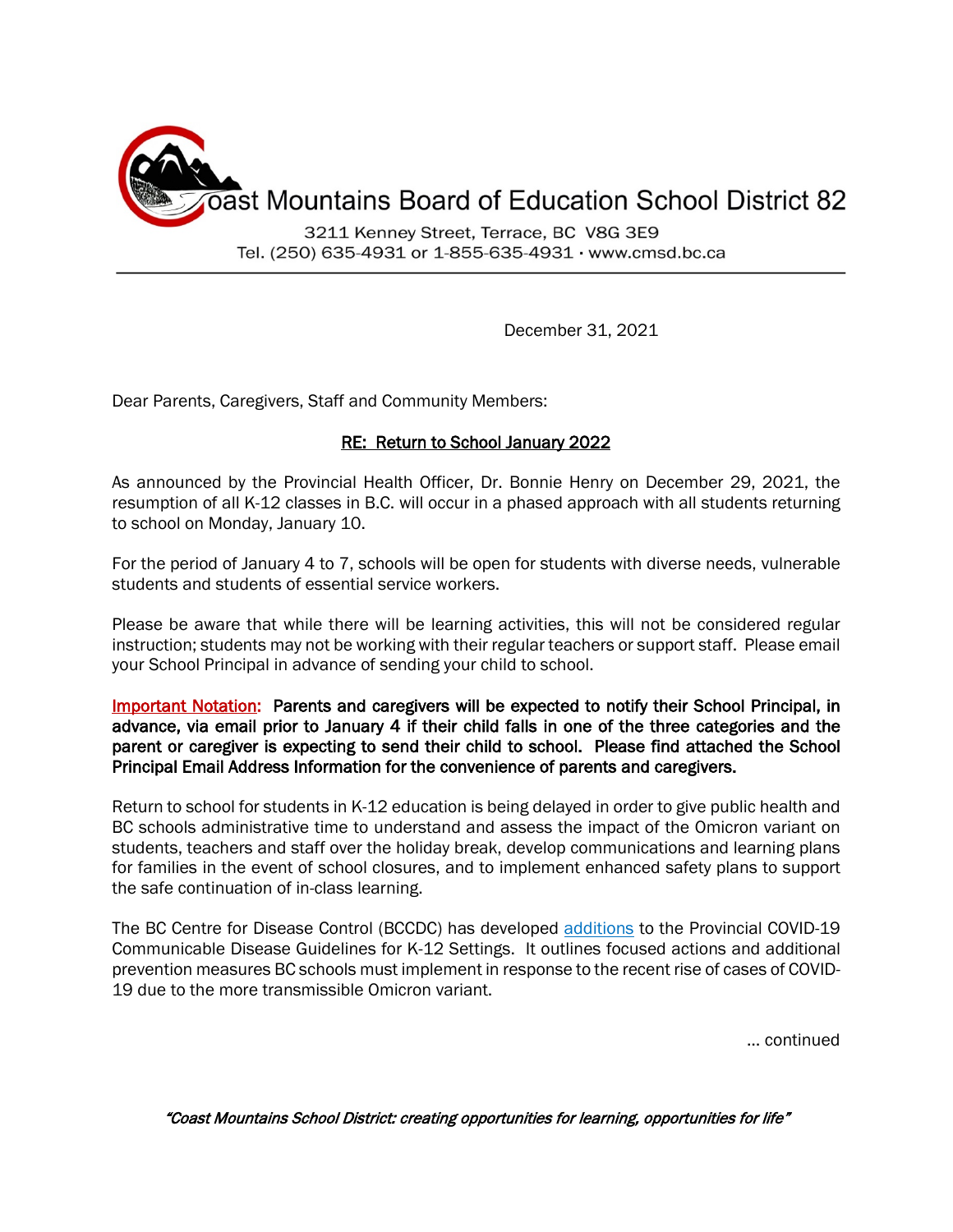

Tel. (250) 635-4931 or 1-855-635-4931 · www.cmsd.bc.ca

December 31, 2021

Dear Parents, Caregivers, Staff and Community Members:

## RE: Return to School January 2022

As announced by the Provincial Health Officer, Dr. Bonnie Henry on December 29, 2021, the resumption of all K-12 classes in B.C. will occur in a phased approach with all students returning to school on Monday, January 10.

For the period of January 4 to 7, schools will be open for students with diverse needs, vulnerable students and students of essential service workers.

Please be aware that while there will be learning activities, this will not be considered regular instruction; students may not be working with their regular teachers or support staff. Please email your School Principal in advance of sending your child to school.

Important Notation: Parents and caregivers will be expected to notify their School Principal, in advance, via email prior to January 4 if their child falls in one of the three categories and the parent or caregiver is expecting to send their child to school. Please find attached the School Principal Email Address Information for the convenience of parents and caregivers.

Return to school for students in K-12 education is being delayed in order to give public health and BC schools administrative time to understand and assess the impact of the Omicron variant on students, teachers and staff over the holiday break, develop communications and learning plans for families in the event of school closures, and to implement enhanced safety plans to support the safe continuation of in-class learning.

The BC Centre for Disease Control (BCCDC) has developed [additions](https://www2.gov.bc.ca/assets/gov/education/administration/kindergarten-to-grade-12/safe-caring-orderly/k-12-covid-19-health-safety-guidelines-addendum.pdf) to the Provincial COVID-19 Communicable Disease Guidelines for K-12 Settings. It outlines focused actions and additional prevention measures BC schools must implement in response to the recent rise of cases of COVID-19 due to the more transmissible Omicron variant.

… continued

"Coast Mountains School District: creating opportunities for learning, opportunities for life"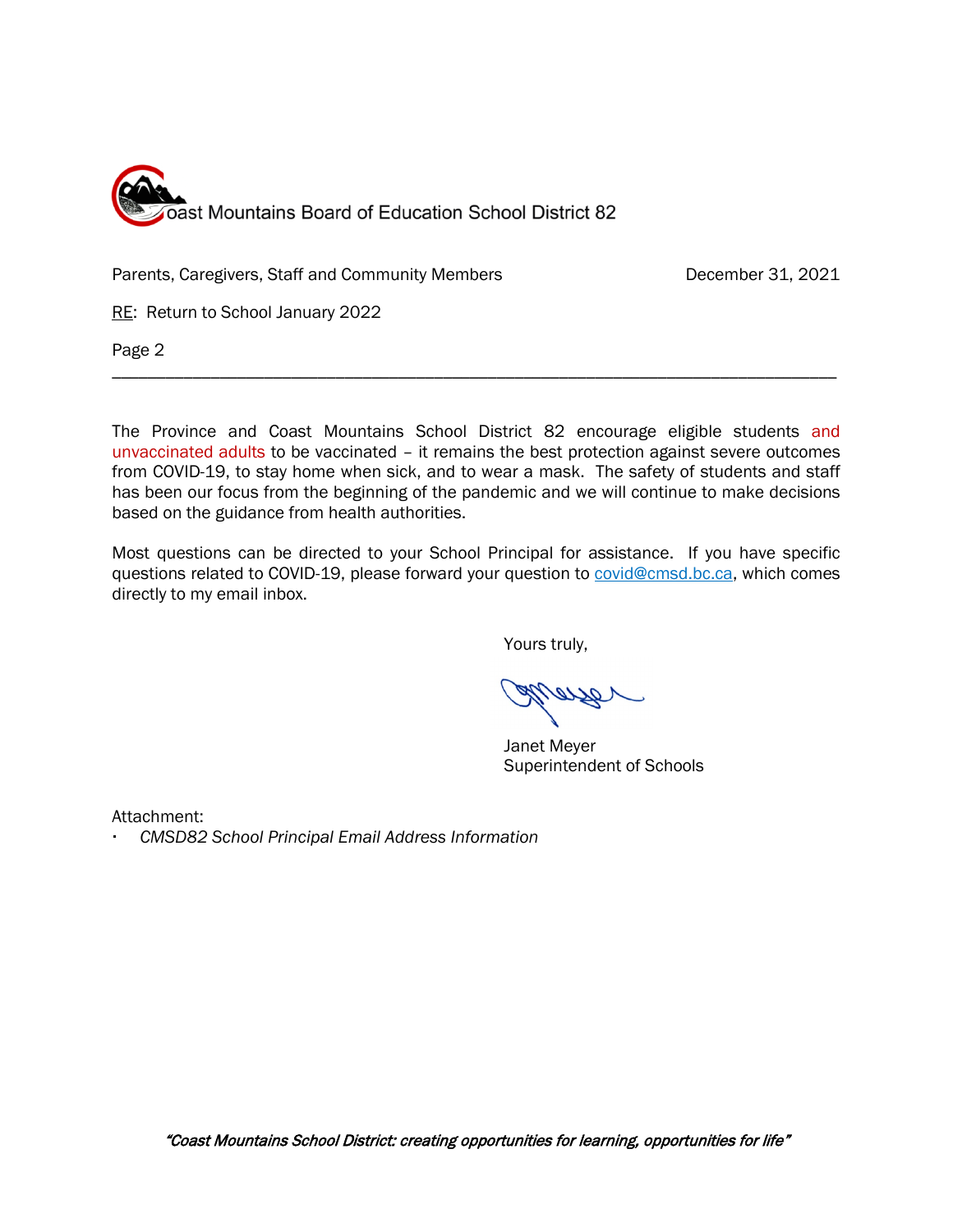

Parents, Caregivers, Staff and Community Members **December 31, 2021** 

RE: Return to School January 2022

Page 2

The Province and Coast Mountains School District 82 encourage eligible students and unvaccinated adults to be vaccinated – it remains the best protection against severe outcomes from COVID-19, to stay home when sick, and to wear a mask. The safety of students and staff has been our focus from the beginning of the pandemic and we will continue to make decisions based on the guidance from health authorities.

\_\_\_\_\_\_\_\_\_\_\_\_\_\_\_\_\_\_\_\_\_\_\_\_\_\_\_\_\_\_\_\_\_\_\_\_\_\_\_\_\_\_\_\_\_\_\_\_\_\_\_\_\_\_\_\_\_\_\_\_\_\_\_\_\_\_\_\_\_\_\_\_\_\_\_\_\_\_\_\_\_

Most questions can be directed to your School Principal for assistance. If you have specific questions related to COVID-19, please forward your question to [covid@cmsd.bc.ca,](mailto:covid@cmsd.bc.ca) which comes directly to my email inbox.

Yours truly,

Janet Meyer Superintendent of Schools

Attachment:

*CMSD82 School Principal Email Address Information*